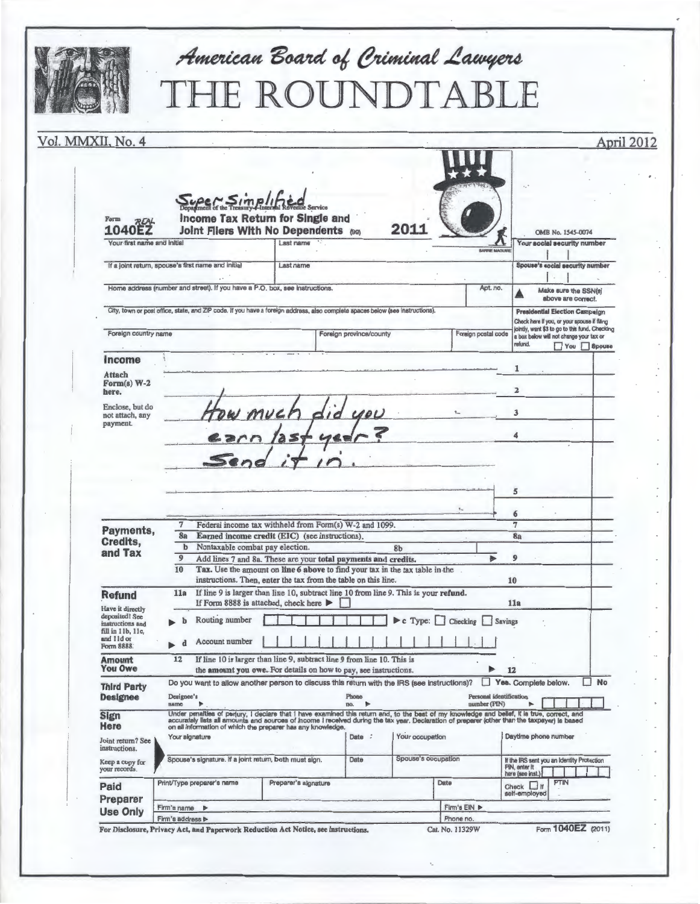|                                                        |                                                                                                                                                                                       | American Board of Criminal Lawyers<br><b>IE ROUNDTABLE</b>                                                                                                                                                                                                                                                                                                                                |                               |      |                       |                                                 |                                                                                                                                                              |  |
|--------------------------------------------------------|---------------------------------------------------------------------------------------------------------------------------------------------------------------------------------------|-------------------------------------------------------------------------------------------------------------------------------------------------------------------------------------------------------------------------------------------------------------------------------------------------------------------------------------------------------------------------------------------|-------------------------------|------|-----------------------|-------------------------------------------------|--------------------------------------------------------------------------------------------------------------------------------------------------------------|--|
| Vol. MMXII, No. 4                                      |                                                                                                                                                                                       |                                                                                                                                                                                                                                                                                                                                                                                           |                               |      |                       |                                                 | April 2012                                                                                                                                                   |  |
| Form<br><b>REAL</b><br><b>1040EZ</b>                   | Super Simplified                                                                                                                                                                      | <b>Income Tax Return for Single and</b><br>Joint Fliers With No Dependents (99)                                                                                                                                                                                                                                                                                                           |                               | 2011 |                       |                                                 | OMB No. 1545-0074                                                                                                                                            |  |
| Your first name and initial                            |                                                                                                                                                                                       | Last name                                                                                                                                                                                                                                                                                                                                                                                 |                               |      | <b>BARRIE MAGUIRE</b> |                                                 | Your social security number                                                                                                                                  |  |
|                                                        | If a joint return, spouse's first name and initial                                                                                                                                    | Last name                                                                                                                                                                                                                                                                                                                                                                                 |                               |      |                       |                                                 | Spouse's social security number                                                                                                                              |  |
|                                                        | Home address (number and street). If you have a P.O. box, see instructions.                                                                                                           |                                                                                                                                                                                                                                                                                                                                                                                           |                               |      | Apt. no.              |                                                 | Make sure the SSN(s)                                                                                                                                         |  |
|                                                        | City, town or post office, state, and ZIP code. If you have a foreign address, also complete spaces below (see instructions).                                                         |                                                                                                                                                                                                                                                                                                                                                                                           |                               |      |                       |                                                 | above are correct.<br><b>Presidential Election Campaign</b><br>Check here If you, or your spouse if filing<br>jointly, want \$3 to go to this fund. Checking |  |
| Foreign country name                                   |                                                                                                                                                                                       |                                                                                                                                                                                                                                                                                                                                                                                           | Foreign province/county       |      | Foreign postal code   | refund.                                         | a box below will not change your tax or<br>You 8pouse                                                                                                        |  |
| Income                                                 |                                                                                                                                                                                       |                                                                                                                                                                                                                                                                                                                                                                                           |                               |      |                       |                                                 |                                                                                                                                                              |  |
| <b>Attach</b><br>$\mathbf{Form}(s)$ W-2<br>here.       |                                                                                                                                                                                       |                                                                                                                                                                                                                                                                                                                                                                                           |                               |      |                       | $\overline{2}$                                  |                                                                                                                                                              |  |
| Enclose, but do<br>not attach, any<br>payment.         | tow much                                                                                                                                                                              |                                                                                                                                                                                                                                                                                                                                                                                           |                               |      |                       | ٩                                               |                                                                                                                                                              |  |
|                                                        |                                                                                                                                                                                       |                                                                                                                                                                                                                                                                                                                                                                                           |                               |      |                       | 5<br>6                                          |                                                                                                                                                              |  |
| Payments,<br>Credits,<br>and Tax                       | 7                                                                                                                                                                                     | Federal income tax withheld from Form(s) W-2 and 1099.                                                                                                                                                                                                                                                                                                                                    |                               |      |                       | 7                                               |                                                                                                                                                              |  |
|                                                        | Earned income credit (EIC) (see instructions).<br>8a<br>Nontaxable combat pay election.<br>b<br><b>8b</b><br>9<br>ь<br>Add lines 7 and 8a. These are your total payments and credits. |                                                                                                                                                                                                                                                                                                                                                                                           |                               |      |                       | 8a<br>9                                         |                                                                                                                                                              |  |
|                                                        | Tax. Use the amount on line 6 above to find your tax in the tax table in the<br>10<br>instructions. Then, enter the tax from the table on this line.<br>10                            |                                                                                                                                                                                                                                                                                                                                                                                           |                               |      |                       |                                                 |                                                                                                                                                              |  |
| <b>Refund</b>                                          | 11a                                                                                                                                                                                   | If line 9 is larger than line 10, subtract line 10 from line 9. This is your refund.                                                                                                                                                                                                                                                                                                      |                               |      |                       |                                                 |                                                                                                                                                              |  |
| Have it directly<br>deposited! See<br>instructions and | Routing number                                                                                                                                                                        | If Form 8888 is attached, check here<br>11a<br>$\blacktriangleright$ c Type:<br>Checking<br>Savings                                                                                                                                                                                                                                                                                       |                               |      |                       |                                                 |                                                                                                                                                              |  |
| fill in 11b, 11c,<br>and 11d or<br>Form 8888.          | Account number                                                                                                                                                                        |                                                                                                                                                                                                                                                                                                                                                                                           |                               |      |                       |                                                 |                                                                                                                                                              |  |
| <b>Amount</b><br><b>You Owe</b>                        | If line 10 is larger than line 9, subtract line 9 from line 10. This is<br>12<br>the amount you owe. For details on how to pay, see instructions.<br>12                               |                                                                                                                                                                                                                                                                                                                                                                                           |                               |      |                       |                                                 |                                                                                                                                                              |  |
| <b>Third Party</b><br>Designee                         | Do you want to allow another person to discuss this return with the IRS (see instructions)?<br>Designee's<br>name                                                                     |                                                                                                                                                                                                                                                                                                                                                                                           | Phone<br>$\rightarrow$<br>DO. |      | number (PIN)          | Yes. Complete below.<br>Personal identification | $\Box$ No                                                                                                                                                    |  |
| <b>Sign</b><br>Here<br>Joint return? See               | Your signature                                                                                                                                                                        | Under penalties of perjury, I declare that I have examined this return and, to the best of my knowledge and bellef, it is true, correct, and<br>accurately lists all amounts and sources of income I received during the tax year. Declaration of preparer (other than the taxpayer) is based<br>on all information of which the preparer has any knowledge.<br>Your occupation<br>Date : |                               |      |                       |                                                 | Daytime phone number                                                                                                                                         |  |
| instructions.                                          |                                                                                                                                                                                       | Spouse's signature. If a joint return, both must sign.<br>Spouse's occupation<br>Date                                                                                                                                                                                                                                                                                                     |                               |      |                       | If the IRS sent you an Identity Protection      |                                                                                                                                                              |  |
|                                                        |                                                                                                                                                                                       |                                                                                                                                                                                                                                                                                                                                                                                           |                               |      | Date                  | PIN, enter it<br>here (see inst.)               | PTIN                                                                                                                                                         |  |
| Keep a copy for<br>your records.                       | Print/Type preparer's name                                                                                                                                                            | Preparer's signature                                                                                                                                                                                                                                                                                                                                                                      |                               |      |                       |                                                 |                                                                                                                                                              |  |
| Paid<br>Preparer                                       | Firm's name $\blacktriangleright$                                                                                                                                                     |                                                                                                                                                                                                                                                                                                                                                                                           |                               |      | Firm's EIN >          | Check $\Box$ If<br>self-employed                |                                                                                                                                                              |  |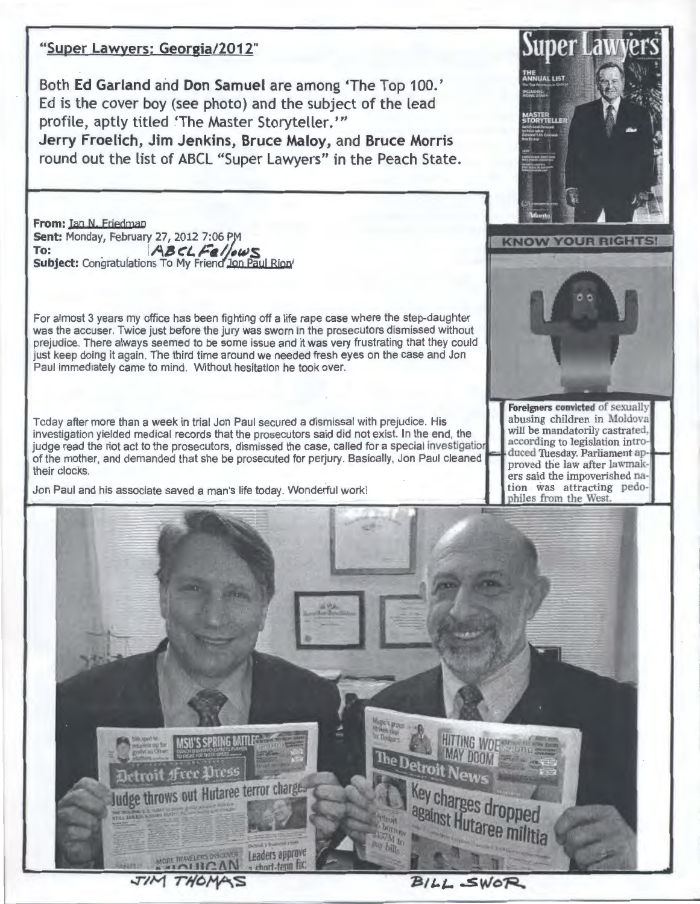#### "Super Lawyers: Georgia/2012"

Both Ed Garland and Don Samuel are among 'The Top 100.' Ed is the cover boy (see photo) and the subject of the lead profile, aptly titled 'The Master Storyteller."' Jerry Froelich, Jim Jenkins, Bruce Maloy, and Bruce Morris

round out the list of ABCL "Super Lawyers" in the Peach State.

From: Ian N. Friedman **Sent: Monday, February 27, 2012 7:06 PM**<br>To: **ABCLE** ABCLFellows Subject: Congratulations To My Friend Jon Paul Rion

For almost 3 years my office has been fighting off a life rape case where the step-daughter was the accuser. Twice just before the jury was sworn in the prosecutors dismissed without prejudice. There always seemed to be some issue and it was very frustrating that they could just keep doing it again. The third time around we needed fresh eves on the case and Jon Paul immediately came to mind. Without hesitation he took over.

Today after more than a week in trial Jon Paul secured a dismissal with prejudice. His investigation yielded medical records that the prosecutors said did not exist. In the end, the judge read the riot act to the prosecutors, dismissed the case, called for a special investigation of the mother, and demanded that she be prosecuted for perjury. Basically, Jon Paul cleaned their clocks.

Jon Paul and his associate saved a man's life today. Wonderful work!





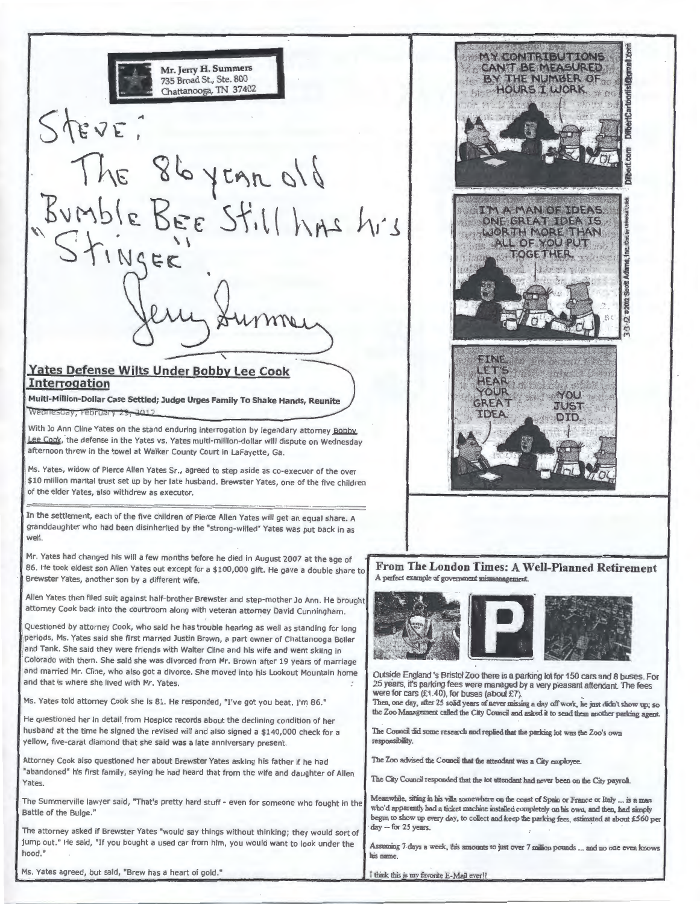**Mr. Jerry H. Summers**  735 Broad St., Ste. 800 TN 37402 EVE The 86 year old<br>Bumble Bee Still has his<br>Stinger

#### ' **Yates Defense Wilts Under Bobby Lee Cook Interrogation**

**Multi-Million-Dollar Case Settled; Judge Urges Family To Shake Hands, Reunite**  Wearlesday, February 29, 2012

With Jo Ann Cline Yates on the stand enduring interrogation by legendary attorney Bobby Lee Cook, the defense in the Yates vs. Yates multi-million-dollar will dispute on Wednesday afternoon threw in the towel at Walker County Court in LaFayette, Ga .

Ms. Yates, widow of Pierce Allen Yates Sr., agreed to step aside as co-execuor of the over \$10 million marital trust set up by her late husband. Brewster Yates, one of the five children of the elder Yates, also withdrew as executor.

In the settlement, each of the five children of Pierce Allen Yates will get an equal share. A granddaughter who had been disinherited *by* the "strong-willed" Yates was put back in as well.

Mr. Yates had changed his will a few months before he died in August 2007 at the age of 86. He took eldest son Allen Yates out except for a \$100,000 gift. He gave a double share to Brewster Yates, another son by a different wife.

Allen Yates then filed suit against half-brother Brewster and step-mother Jo Ann. He brought attorney Cook back into the courtroom along with veteran attorney David Cunningham.

Questioned by attorney Cook, who said he has trouble hearing as well as standing for long periods, Ms. Yates said she first married Justin Brown, a part owner of Chattanooga Boiler and Tank. She said they were friends with Walter Cline and his wife and went skiing in Colorado with them . She said she was divorced from Mr. Brown after 19 years of marriage and married Mr. Cline, who also got a divorce. She moved into his Lookout Mountain home and that is where she lived with Mr. Yates.

Ms. Yates told attorney Cook she is 81. He responded, "I've got you beat. I'm 86."

He questioned her in detail from Hospice records about the declining condition of her husband at the time he signed the revised will and also signed a \$140,000 check for a yellow, five-carat diamond that she said was a late anniversary present.

Attorney Cook also questioned her about Brewster Yates asking his father if he had "abandoned" his first family, saying he had heard that from the wife and daughter of Allen Yates.

The Summerville lawyer said, "That's pretty hard stuff- even for someone who fought in the Battle of the Bulge."

The attorney asked if Brewster Yates "would say things without thinking ; they would sort of jump out." He said, "If you bought a used car from him, you would want to look under the hood."

Ms. Yates agreed, but said, "Brew has a heart of gold."



**From The London Times: A Well-Planned Retirement**  A perl'ect example of government mismanagement



Outside England 's Bristol Zoo there is a parkirig lot for 150 cars and 8 buses. For 25 years, it's parking fees were managed by a very pleasant attendant The fees were for cars  $(f1.40)$ , for buses (about  $f7$ ).

Then, one day, after 25 solid years of never missing a day off work, he just didn't show up; so the Zoo Management caDed the City Council and asked **it** to send them another padcing agent

The Council did some research and replied that the parking lot was the Zoo's own responsibility.

The Zoo advised the Council that the attendant was a City employee.

The City Council responded that the lot attendant had never been on the City payroll.

Meanwhile, sitting in his villa somewhere on the coast of Spain or France or Italy ... is a man who'd apparently had a ticket machine installed commletely on his own, and then, had simply begun to show up every day, to collect and keep the parking fees, estimated at about £560 per day -- for 25 years.

Assuming 7 days a week, this amounts to just over 7 million pounds ... and no one even knows his name.

I think this is my favorite E-Mail ever!!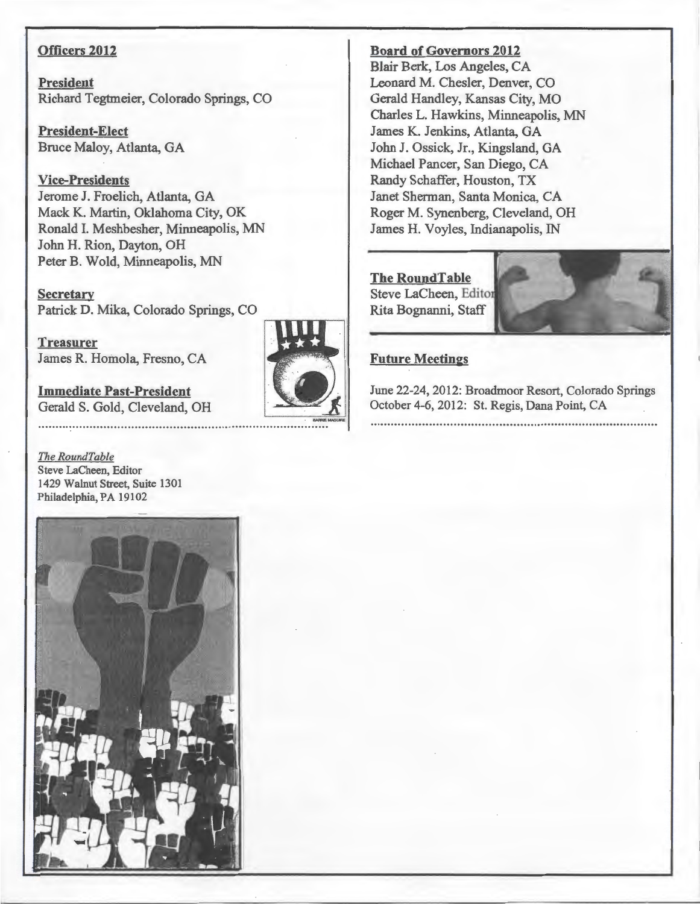#### **Officers 2012**

**President**  Richard Tegtmeier, Colorado Springs, CO

**President-Elect**  Bruce Maloy, Atlanta, GA

**Vice-Presidents**  Jerome J. Froelich, Atlanta, GA Mack K. Martin, Oklahoma City, OK Ronald I. Meshbesher, Minneapolis, MN John H. Rion, Dayton, OH Peter B. Wold, Minneapolis, MN

**Secretary**  Patrick D. Mika, Colorado Springs, CO

**Treasurer**  James R. Homola, Fresno, CA

**Immediate Past-President**  Gerald S. Gold, Cleveland, OH

*The RoundTable*  Steve LaCheen, Editor 1429 Walnut Street, Suite 1301 Philadelphia, PA 19102



**Board of Governors 2012** 

Blair Berk, Los Angeles, CA Leonard M. Chesler, Denver, CO. Gerald Handley, Kansas City, MO Charles L. Hawkins, Minneapolis, MN James K. Jenkins, Atlanta, GA John J. Ossick, Jr., Kingsland, GA Michael Pancer, San Diego, CA Randy Schaffer, Houston, TX Janet Sherman, Santa Monica, CA Roger M. Synenberg, Cleveland, OH James H. Voyles, Indianapolis, IN

### **The RoundTable**  Steve LaCheen, Editor Rita Bognanni, Staff

#### **Future Meetings**

June 22-24, 2012: Broadmoor Resort, Colorado Springs October 4-6, 2012: St. Regis, Dana Point, CA 

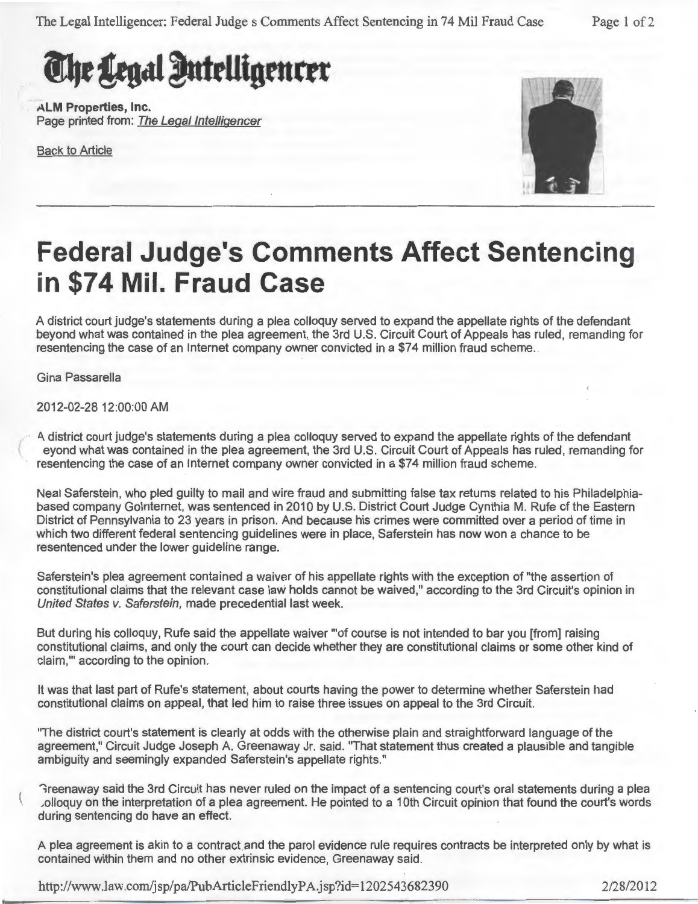The Legal Intelligencer: Federal Judge s Comments Affect Sentencing in 74 Mil Fraud Case Page 1 of 2

# The Legal Intelligencer

**ALM Properties, Inc.**  Page printed from: The Legal Intelligencer

Back to Article



## **Federal Judge's Comments Affect Sentencing in \$74 Mil. Fraud Case**

A district court judge's statements during a plea colloquy served to expand the appellate rights of the defendant beyond what was contained in the plea agreement, the 3rd U.S. Circuit Court of Appeals has ruled, remanding for resentencing the case of an Internet company owner convicted in a \$74 million fraud scheme.

Gina Passarella

 $\left\{$ 

2012-02-28 12:00:00 AM

A.. district court judge's statements during a plea colloquy served to expand the appellate rights of the defendant eyond what was contained in the plea agreement, the 3rd U.S. Circuit Court of Appeals has ruled, remanding for resentencing the case of an Internet company owner convicted in a \$74 million fraud scheme.

Neal Saferstein, who pled guilty to mail and wire fraud and submitting false tax returns related to his Philadelphiabased company Gointernet, was sentenced in 2010 by U.S. District Court Judge Cynthia M. Rufe of the Eastern District of Pennsylvania to 23 years in prison. And because his crimes were committed over a period of time in which two different federal sentencing guidelines were in place, Saferstein has now won a chance to be resentenced under the lower guideline range.

Saferstein's plea agreement contained a waiver of his appellate rights with the exception of "the assertion of constitutional claims that the relevant case law holds cannot be waived," according to the 3rd Circuit's opinion in United States v. Saferstein, made precedential last week.

But during his colloquy, Rufe said the appellate waiver "'of course is not intended to bar you [from] raising constitutional claims, and only the court can decide whether they are constitutional claims or some other kind of claim,"' according to the opinion.

It was that last part of Rufe's statement, about courts having the power to determine whether Saferstein had constitutional claims on appeal, that led him to raise three issues on appeal to the 3rd Circuit.

"The district court's statement is clearly at odds with the otherwise plain and straightforward language of the agreement," Circuit Judge Joseph A. Greenaway Jr. said. "That statement thus created a plausible and tangible ambiguity and seemingly expanded Saferstein's appellate rights."

'";reenaway said the 3rd Circuit has never ruled on the impact of a sentencing court's oral statements during a plea Jolloquy on the interpretation of a plea agreement. He pointed to a 1Oth Circuit opinion that found the court's words during sentencing do have an effect.

A plea agreement is akin to a contract and the parol evidence rule requires contracts be interpreted only by what is contained within them and no other extrinsic evidence, Greenaway said.

http://www.law.com/jsp/pa/PubArticleFriendlyPA.jsp?id=1202543682390 2/28/2012